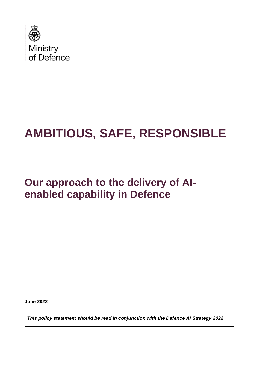

# **AMBITIOUS, SAFE, RESPONSIBLE**

## **Our approach to the delivery of AIenabled capability in Defence**

**June 2022** 

*This policy statement should be read in conjunction with the Defence AI Strategy 2022*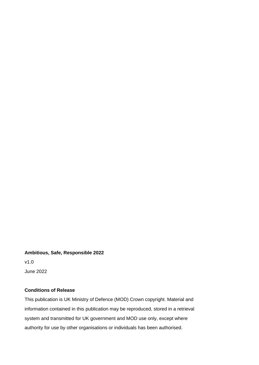#### **Ambitious, Safe, Responsible 2022**

v1.0 June 2022

### **Conditions of Release**

This publication is UK Ministry of Defence (MOD) Crown copyright. Material and information contained in this publication may be reproduced, stored in a retrieval system and transmitted for UK government and MOD use only, except where authority for use by other organisations or individuals has been authorised.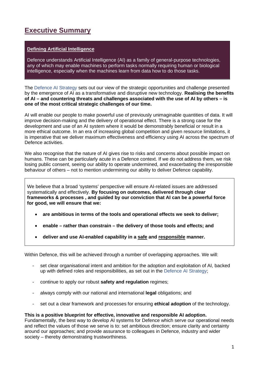### **Executive Summary**

### **Defining Artificial Intelligence**

Defence understands Artificial Intelligence (AI) as a family of general-purpose technologies, any of which may enable machines to perform tasks normally requiring human or biological intelligence, especially when the machines learn from data how to do those tasks.

The Defence AI Strategy sets out our view of the strategic opportunities and challenge presented by the emergence of AI as a transformative and disruptive new technology. **Realising the benefits of AI – and countering threats and challenges associated with the use of AI by others – is one of the most critical strategic challenges of our time.** 

AI will enable our people to make powerful use of previously unimaginable quantities of data. It will improve decision-making and the delivery of operational effect. There is a strong case for the development and use of an AI system where it would be demonstrably beneficial or result in a more ethical outcome. In an era of increasing global competition and given resource limitations, it is imperative that we deliver maximum effectiveness and efficiency using AI across the spectrum of Defence activities.

We also recognise that the nature of AI gives rise to risks and concerns about possible impact on humans. These can be particularly acute in a Defence context. If we do not address them, we risk losing public consent, seeing our ability to operate undermined, and exacerbating the irresponsible behaviour of others – not to mention undermining our ability to deliver Defence capability.

We believe that a broad 'systems' perspective will ensure AI-related issues are addressed systematically and effectively. **By focusing on outcomes, delivered through clear frameworks & processes , and guided by our conviction that AI can be a powerful force for good, we will ensure that we:** 

- **are ambitious in terms of the tools and operational effects we seek to deliver;**
- **enable rather than constrain the delivery of those tools and effects; and**
- **deliver and use AI-enabled capability in a safe and responsible manner.**

Within Defence, this will be achieved through a number of overlapping approaches. We will:

- set clear organisational intent and ambition for the adoption and exploitation of AI, backed up with defined roles and responsibilities, as set out in the Defence AI Strategy;
- continue to apply our robust **safety and regulation** regimes;
- always comply with our national and international **legal** obligations; and
- set out a clear framework and processes for ensuring **ethical adoption** of the technology.

#### **This is a positive blueprint for effective, innovative and responsible AI adoption.**

Fundamentally, the best way to develop AI systems for Defence which serve our operational needs and reflect the values of those we serve is to: set ambitious direction; ensure clarity and certainty around our approaches; and provide assurance to colleagues in Defence, industry and wider society – thereby demonstrating trustworthiness.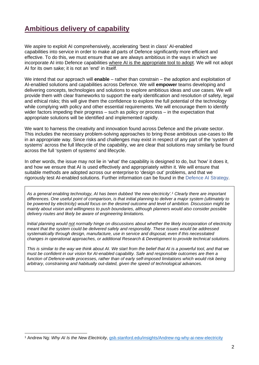### **Ambitious delivery of capability**

We aspire to exploit AI comprehensively, accelerating 'best in class' AI-enabled capabilities into service in order to make all parts of Defence significantly more efficient and effective. To do this, we must ensure that we are always ambitious in the ways in which we incorporate AI into Defence capabilities where AI is the appropriate tool to adopt. We will not adopt AI for its own sake; it is not an 'end' in itself.

We intend that our approach will **enable** – rather than constrain – the adoption and exploitation of AI-enabled solutions and capabilities across Defence. We will **empower** teams developing and delivering concepts, technologies and solutions to explore ambitious ideas and use cases. We will provide them with clear frameworks to support the early identification and resolution of safety, legal and ethical risks; this will give them the confidence to explore the full potential of the technology while complying with policy and other essential requirements. We will encourage them to identify wider factors impeding their progress – such as policy or process – in the expectation that appropriate solutions will be identified and implemented rapidly.

We want to harness the creativity and innovation found across Defence and the private sector. This includes the necessary problem-solving approaches to bring those ambitious use-cases to life in an appropriate way. Since risks and challenges may exist in respect of any part of the 'system of systems' across the full lifecycle of the capability, we are clear that solutions may similarly be found across the full 'system of systems' and lifecycle.

In other words, the issue may not lie in 'what' the capability is designed to do, but 'how' it does it, and how we ensure that AI is used effectively and appropriately within it. We will ensure that suitable methods are adopted across our enterprise to 'design out' problems, and that we rigorously test AI-enabled solutions. Further information can be found in the Defence AI Strategy.

*As a general enabling technology, AI has been dubbed 'the new electricity'.<sup>1</sup> Clearly there are important differences. One useful point of comparison, is that initial planning to deliver a major system (ultimately to be powered by electricity) would focus on the desired outcome and level of ambition. Discussion might be mainly about vision and willingness to push boundaries, although planners would also consider possible delivery routes and likely be aware of engineering limitations.* 

*Initial planning would not normally hinge on discussions about whether the likely incorporation of electricity meant that the system could be delivered safely and responsibly. These issues would be addressed systematically through design, manufacture, use in service and disposal, even if this necessitated changes in operational approaches, or additional Research & Development to provide technical solutions.* 

*This is similar to the way we think about AI. We start from the belief that AI is a powerful tool, and that we must be confident in our vision for AI-enabled capability. Safe and responsible outcomes are then a function of Defence-wide processes, rather than of early self-imposed limitations which would risk being arbitrary, constraining and habitually out-dated, given the speed of technological advances.* 

<sup>1</sup> Andrew Ng: *Why AI Is the New Electricity*, [gsb.stanford.edu/insights/Andrew-ng-why-ai-new-electricity](http://www.gsb.stanford.edu/insights/Andrew-ng-why-ai-new-electricity)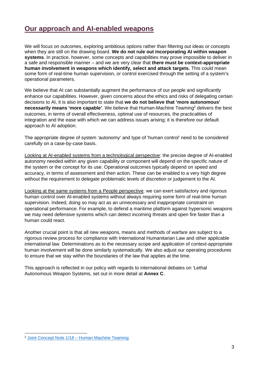### **Our approach and AI-enabled weapons**

We will focus on outcomes, exploring ambitious options rather than filtering out ideas or concepts when they are still on the drawing board. **We do not rule out incorporating AI within weapon systems**. In practice, however, some concepts and capabilities may prove impossible to deliver in a safe and responsible manner – and we are very clear that **there must be context-appropriate human involvement in weapons which identify, select and attack targets.** This could mean some form of real-time human supervision, or control exercised through the setting of a system's operational parameters.

We believe that AI can substantially augment the performance of our people and significantly enhance our capabilities. However, given concerns about the ethics and risks of delegating certain decisions to AI, it is also important to state that **we do not believe that 'more autonomous'**  necessarily means 'more capable'. We believe that Human-Machine Teaming<sup>2</sup> delivers the best outcomes, in terms of overall effectiveness, optimal use of resources, the practicalities of integration and the ease with which we can address issues arising; it is therefore our default approach to AI adoption.

The appropriate degree of system 'autonomy' and type of 'human control' need to be considered carefully on a case-by-case basis.

Looking at AI-enabled systems from a technological perspective: the precise degree of AI-enabled autonomy needed within any given capability or component will depend on the specific nature of the system or the concept for its use. Operational outcomes typically depend on speed and accuracy, in terms of assessment and then action. These can be enabled to a very high degree without the requirement to delegate problematic levels of discretion or judgement to the AI.

Looking at the same systems from a People perspective: we can exert satisfactory and rigorous human control over AI-enabled systems without always requiring some form of real-time human supervision. Indeed, doing so may act as an unnecessary and inappropriate constraint on operational performance. For example, to defend a maritime platform against hypersonic weapons we may need defensive systems which can detect incoming threats and open fire faster than a human could react.

Another crucial point is that all new weapons, means and methods of warfare are subject to a rigorous review process for compliance with International Humanitarian Law and other applicable international law. Determinations as to the necessary scope and application of context-appropriate human involvement will be done similarly systematically. We also adjust our operating procedures to ensure that we stay within the boundaries of the law that applies at the time.

This approach is reflected in our policy with regards to international debates on 'Lethal Autonomous Weapon Systems, set out in more detail at **Annex C**.

<sup>2</sup> [Joint Concept Note 1/18 – Human Machine Teaming](https://assets.publishing.service.gov.uk/government/uploads/system/uploads/attachment_data/file/709359/20180517-concepts_uk_human_machine_teaming_jcn_1_18.pdf)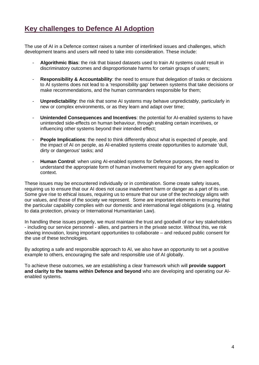### **Key challenges to Defence AI Adoption**

The use of AI in a Defence context raises a number of interlinked issues and challenges, which development teams and users will need to take into consideration. These include:

- **Algorithmic Bias**: the risk that biased datasets used to train AI systems could result in discriminatory outcomes and disproportionate harms for certain groups of users;
- **Responsibility & Accountability**: the need to ensure that delegation of tasks or decisions to AI systems does not lead to a 'responsibility gap' between systems that take decisions or make recommendations, and the human commanders responsible for them;
- **Unpredictability**: the risk that some AI systems may behave unpredictably, particularly in new or complex environments, or as they learn and adapt over time;
- **Unintended Consequences and Incentives**: the potential for AI-enabled systems to have unintended side-effects on human behaviour, through enabling certain incentives, or influencing other systems beyond their intended effect;
- **People Implications**: the need to think differently about what is expected of people, and the impact of AI on people, as AI-enabled systems create opportunities to automate 'dull, dirty or dangerous' tasks; and
- **Human Control**: when using AI-enabled systems for Defence purposes, the need to understand the appropriate form of human involvement required for any given application or context.

These issues may be encountered individually or in combination. Some create safety issues, requiring us to ensure that our AI does not cause inadvertent harm or danger as a part of its use. Some give rise to ethical issues, requiring us to ensure that our use of the technology aligns with our values, and those of the society we represent. Some are important elements in ensuring that the particular capability complies with our domestic and international legal obligations (e.g. relating to data protection, privacy or International Humanitarian Law).

In handling these issues properly, we must maintain the trust and goodwill of our key stakeholders - including our service personnel - allies, and partners in the private sector. Without this, we risk slowing innovation, losing important opportunities to collaborate – and reduced public consent for the use of these technologies.

By adopting a safe and responsible approach to AI, we also have an opportunity to set a positive example to others, encouraging the safe and responsible use of AI globally.

To achieve these outcomes, we are establishing a clear framework which will **provide support and clarity to the teams within Defence and beyond** who are developing and operating our AIenabled systems.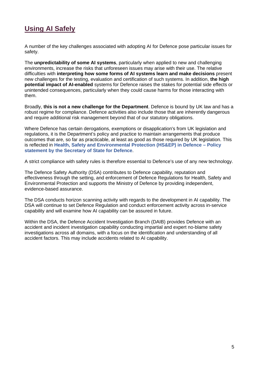### **Using AI Safely**

A number of the key challenges associated with adopting AI for Defence pose particular issues for safety.

The **unpredictability of some AI systems**, particularly when applied to new and challenging environments, increase the risks that unforeseen issues may arise with their use. The relative difficulties with **interpreting how some forms of AI systems learn and make decisions** present new challenges for the testing, evaluation and certification of such systems. In addition, **the high potential impact of AI-enabled** systems for Defence raises the stakes for potential side effects or unintended consequences, particularly when they could cause harms for those interacting with them.

Broadly, **this is not a new challenge for the Department**. Defence is bound by UK law and has a robust regime for compliance. Defence activities also include those that are inherently dangerous and require additional risk management beyond that of our statutory obligations.

Where Defence has certain derogations, exemptions or disapplication's from UK legislation and regulations, it is the Department's policy and practice to maintain arrangements that produce outcomes that are, so far as practicable, at least as good as those required by UK legislation. This is reflected in **Health, Safety and Environmental Protection (HS&EP) in Defence – Policy statement by the Secretary of State for Defence**.

A strict compliance with safety rules is therefore essential to Defence's use of any new technology.

The Defence Safety Authority (DSA) contributes to Defence capability, reputation and effectiveness through the setting, and enforcement of Defence Regulations for Health, Safety and Environmental Protection and supports the Ministry of Defence by providing independent, evidence-based assurance.

The DSA conducts horizon scanning activity with regards to the development in AI capability. The DSA will continue to set Defence Regulation and conduct enforcement activity across in-service capability and will examine how AI capability can be assured in future.

Within the DSA, the Defence Accident Investigation Branch (DAIB) provides Defence with an accident and incident investigation capability conducting impartial and expert no-blame safety investigations across all domains, with a focus on the identification and understanding of all accident factors. This may include accidents related to AI capability.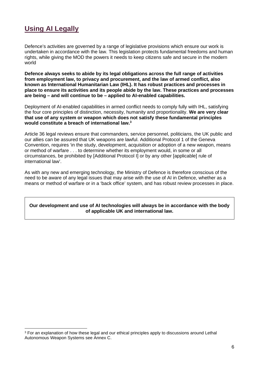### **Using AI Legally**

Defence's activities are governed by a range of legislative provisions which ensure our work is undertaken in accordance with the law. This legislation protects fundamental freedoms and human rights, while giving the MOD the powers it needs to keep citizens safe and secure in the modern world

**Defence always seeks to abide by its legal obligations across the full range of activities from employment law, to privacy and procurement, and the law of armed conflict, also known as International Humanitarian Law (IHL). It has robust practices and processes in place to ensure its activities and its people abide by the law. These practices and processes are being – and will continue to be – applied to AI-enabled capabilities.** 

Deployment of AI-enabled capabilities in armed conflict needs to comply fully with IHL, satisfying the four core principles of distinction, necessity, humanity and proportionality. **We are very clear that use of any system or weapon which does not satisfy these fundamental principles would constitute a breach of international law.<sup>3</sup>**

Article 36 legal reviews ensure that commanders, service personnel, politicians, the UK public and our allies can be assured that UK weapons are lawful. Additional Protocol 1 of the Geneva Convention, requires 'in the study, development, acquisition or adoption of a new weapon, means or method of warfare . . . to determine whether its employment would, in some or all circumstances, be prohibited by [Additional Protocol I] or by any other [applicable] rule of international law'.

As with any new and emerging technology, the Ministry of Defence is therefore conscious of the need to be aware of any legal issues that may arise with the use of AI in Defence, whether as a means or method of warfare or in a 'back office' system, and has robust review processes in place.

#### **Our development and use of AI technologies will always be in accordance with the body of applicable UK and international law.**

<sup>&</sup>lt;sup>3</sup> For an explanation of how these legal and our ethical principles apply to discussions around Lethal Autonomous Weapon Systems see Annex C.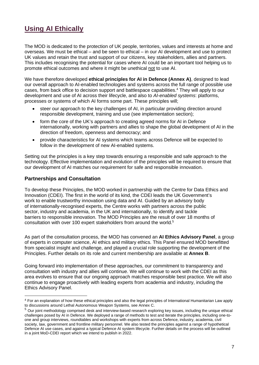### **Using AI Ethically**

The MOD is dedicated to the protection of UK people, territories, values and interests at home and overseas. We must be ethical – and be seen to ethical – in our AI development and use to protect UK values and retain the trust and support of our citizens, key stakeholders, allies and partners. This includes recognising the potential for cases where AI could be an important tool helping us to promote ethical outcomes and where it might be unethical not to use AI.

We have therefore developed **ethical principles for AI in Defence (Annex A)**, designed to lead our overall approach to AI-enabled technologies and systems across the full range of possible use cases, from back office to decision support and battlespace capabilities.<sup>4</sup> They will apply to our development and use of AI across their lifecycle, and also to *AI-enabled systems*: platforms, processes or systems of which AI forms some part. These principles will;

- steer our approach to the key challenges of AI, in particular providing direction around responsible development, training and use (see implementation section);
- form the core of the UK's approach to creating agreed norms for AI in Defence internationally, working with partners and allies to shape the global development of AI in the direction of freedom, openness and democracy; and
- provide characteristics for AI systems which teams across Defence will be expected to follow in the development of new AI-enabled systems.

Setting out the principles is a key step towards ensuring a responsible and safe approach to the technology. Effective implementation and evolution of the principles will be required to ensure that our development of AI matches our requirement for safe and responsible innovation.

### **Partnerships and Consultation**

To develop these Principles, the MOD worked in partnership with the Centre for Data Ethics and Innovation (CDEI). The first in the world of its kind, the CDEI leads the UK Government's work to enable trustworthy innovation using data and AI. Guided by an advisory body of internationally-recognised experts, the Centre works with partners across the public sector, industry and academia, in the UK and internationally, to identify and tackle barriers to responsible innovation. The MOD Principles are the result of over 18 months of consultation with over 100 expert stakeholders from around the world.<sup>5</sup>

As part of the consultation process, the MOD has convened an **AI Ethics Advisory Panel**, a group of experts in computer science, AI ethics and military ethics. This Panel ensured MOD benefitted from specialist insight and challenge, and played a crucial role supporting the development of the Principles. Further details on its role and current membership are available at **Annex B**.

Going forward into implementation of these approaches, our commitment to transparency and consultation with industry and allies will continue. We will continue to work with the CDEI as this area evolves to ensure that our ongoing approach matches responsible best practice. We will also continue to engage proactively with leading experts from academia and industry, including the Ethics Advisory Panel.

<sup>4</sup> For an explanation of how these ethical principles and also the legal principles of International Humanitarian Law apply to discussions around Lethal Autonomous Weapon Systems, see Annex C.

 $<sup>5</sup>$  Our joint methodology comprised desk and interview-based research exploring key issues, including the unique ethical</sup> challenges posed by AI in Defence. We deployed a range of methods to test and iterate the principles, including one-toone and group interviews, roundtables and workshops with experts from across Defence, industry, academia, civil society, law, government and frontline military personnel. We also tested the principles against a range of hypothetical Defence AI use cases, and against a typical Defence AI system lifecycle. Further details on the process will be outlined in a joint MoD-CDEI report which we intend to publish in 2022.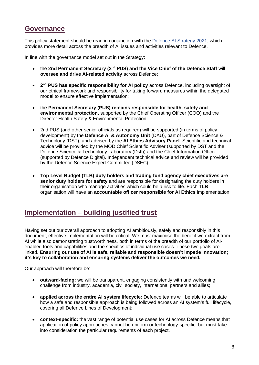### **Governance**

This policy statement should be read in conjunction with the Defence AI Strategy 2021, which provides more detail across the breadth of AI issues and activities relevant to Defence.

In line with the governance model set out in the Strategy:

- the 2nd Permanent Secretary (2<sup>nd</sup> PUS) and the Vice Chief of the Defence Staff will **oversee and drive AI-related activity** across Defence;
- **2<sup>nd</sup> PUS has specific responsibility for AI policy across Defence, including oversight of** our ethical framework and responsibility for taking forward measures within the delegated model to ensure effective implementation;
- the **Permanent Secretary (PUS) remains responsible for health, safety and environmental protection,** supported by the Chief Operating Officer (COO) and the Director Health Safety & Environmental Protection;
- 2nd PUS (and other senior officials as required) will be supported (in terms of policy development) by the **Defence AI & Autonomy Unit** (DAU), part of Defence Science & Technology (DST), and advised by the **AI Ethics Advisory Panel**. Scientific and technical advice will be provided by the MOD Chief Scientific Adviser (supported by DST and the Defence Science & Technology Laboratory (Dstl)) and the Chief Information Officer (supported by Defence Digital). Independent technical advice and review will be provided by the Defence Science Expert Committee (DSEC);
- **Top Level Budget (TLB) duty holders and trading fund agency chief executives are senior duty holders for safety** and are responsible for designating the duty holders in their organisation who manage activities which could be a risk to life. Each **TLB**  organisation will have an **accountable officer responsible for AI Ethics** implementation.

### **Implementation – building justified trust**

Having set out our overall approach to adopting AI ambitiously, safely and responsibly in this document, effective implementation will be critical. We must maximise the benefit we extract from AI while also demonstrating trustworthiness, both in terms of the breadth of our portfolio of AIenabled tools and capabilities and the specifics of individual use cases. These two goals are linked. **Ensuring our use of AI is safe, reliable and responsible doesn't impede innovation; it's key to collaboration and ensuring systems deliver the outcomes we need.**

Our approach will therefore be:

- **outward-facing:** we will be transparent, engaging consistently with and welcoming challenge from industry, academia, civil society, international partners and allies;
- **applied across the entire AI system lifecycle:** Defence teams will be able to articulate how a safe and responsible approach is being followed across an AI system's full lifecycle, covering all Defence Lines of Development;
- **context-specific:** the vast range of potential use cases for AI across Defence means that application of policy approaches cannot be uniform or technology-specific, but must take into consideration the particular requirements of each project.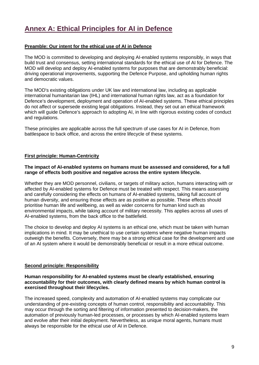### **Annex A: Ethical Principles for AI in Defence**

### **Preamble: Our intent for the ethical use of AI in Defence**

The MOD is committed to developing and deploying AI-enabled systems responsibly, in ways that build trust and consensus, setting international standards for the ethical use of AI for Defence. The MOD will develop and deploy AI-enabled systems for purposes that are demonstrably beneficial: driving operational improvements, supporting the Defence Purpose, and upholding human rights and democratic values.

The MOD's existing obligations under UK law and international law, including as applicable international humanitarian law (IHL) and international human rights law, act as a foundation for Defence's development, deployment and operation of AI-enabled systems. These ethical principles do not affect or supersede existing legal obligations. Instead, they set out an ethical framework which will guide Defence's approach to adopting AI, in line with rigorous existing codes of conduct and regulations.

These principles are applicable across the full spectrum of use cases for AI in Defence, from battlespace to back office, and across the entire lifecycle of these systems.

### **First principle: Human-Centricity**

#### **The impact of AI-enabled systems on humans must be assessed and considered, for a full range of effects both positive and negative across the entire system lifecycle.**

Whether they are MOD personnel, civilians, or targets of military action, humans interacting with or affected by AI-enabled systems for Defence must be treated with respect. This means assessing and carefully considering the effects on humans of AI-enabled systems, taking full account of human diversity, and ensuring those effects are as positive as possible. These effects should prioritise human life and wellbeing, as well as wider concerns for human kind such as environmental impacts, while taking account of military necessity. This applies across all uses of AI-enabled systems, from the back office to the battlefield.

The choice to develop and deploy AI systems is an ethical one, which must be taken with human implications in mind. It may be unethical to use certain systems where negative human impacts outweigh the benefits. Conversely, there may be a strong ethical case for the development and use of an AI system where it would be demonstrably beneficial or result in a more ethical outcome.

#### **Second principle: Responsibility**

#### **Human responsibility for AI-enabled systems must be clearly established, ensuring accountability for their outcomes, with clearly defined means by which human control is exercised throughout their lifecycles.**

The increased speed, complexity and automation of AI-enabled systems may complicate our understanding of pre-existing concepts of human control, responsibility and accountability. This may occur through the sorting and filtering of information presented to decision-makers, the automation of previously human-led processes, or processes by which AI-enabled systems learn and evolve after their initial deployment. Nevertheless, as unique moral agents, humans must always be responsible for the ethical use of AI in Defence.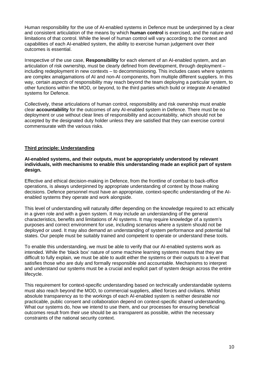Human responsibility for the use of AI-enabled systems in Defence must be underpinned by a clear and consistent articulation of the means by which **human control** is exercised, and the nature and limitations of that control. While the level of human control will vary according to the context and capabilities of each AI-enabled system, the ability to exercise human judgement over their outcomes is essential.

Irrespective of the use case, **Responsibility** for each element of an AI-enabled system, and an articulation of risk ownership, must be clearly defined from development, through deployment – including redeployment in new contexts – to decommissioning. This includes cases where systems are complex amalgamations of AI and non-AI components, from multiple different suppliers. In this way, certain *aspects* of responsibility may reach beyond the team deploying a particular system, to other functions within the MOD, or beyond, to the third parties which build or integrate AI-enabled systems for Defence.

Collectively, these articulations of human control, responsibility and risk ownership must enable clear **accountability** for the outcomes of any AI-enabled system in Defence. There must be no deployment or use without clear lines of responsibility and accountability, which should not be accepted by the designated duty holder unless they are satisfied that they can exercise control commensurate with the various risks.

### **Third principle: Understanding**

#### **AI-enabled systems, and their outputs, must be appropriately understood by relevant individuals, with mechanisms to enable this understanding made an explicit part of system design.**

Effective and ethical decision-making in Defence, from the frontline of combat to back-office operations, is always underpinned by appropriate understanding of context by those making decisions. Defence personnel must have an appropriate, context-specific understanding of the AIenabled systems they operate and work alongside.

This level of understanding will naturally differ depending on the knowledge required to act ethically in a given role and with a given system. It may include an understanding of the general characteristics, benefits and limitations of AI systems. It may require knowledge of a system's purposes and correct environment for use, including scenarios where a system should not be deployed or used. It may also demand an understanding of system performance and potential fail states. Our people must be suitably trained and competent to operate or understand these tools.

To enable this understanding, we must be able to verify that our AI-enabled systems work as intended. While the 'black box' nature of some machine learning systems means that they are difficult to fully explain, we must be able to audit either the systems or their outputs to a level that satisfies those who are duly and formally responsible and accountable. Mechanisms to interpret and understand our systems must be a crucial and explicit part of system design across the entire lifecycle.

This requirement for context-specific understanding based on technically understandable systems must also reach beyond the MOD, to commercial suppliers, allied forces and civilians. Whilst absolute transparency as to the workings of each AI-enabled system is neither desirable nor practicable, public consent and collaboration depend on context-specific shared understanding. What our systems do, how we intend to use them, and our processes for ensuring beneficial outcomes result from their use should be as transparent as possible, within the necessary constraints of the national security context.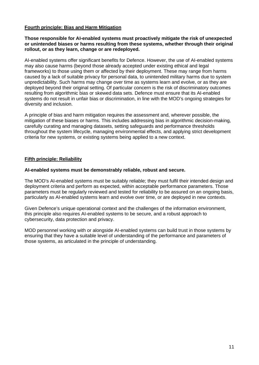#### **Fourth principle: Bias and Harm Mitigation**

#### **Those responsible for AI-enabled systems must proactively mitigate the risk of unexpected or unintended biases or harms resulting from these systems, whether through their original rollout, or as they learn, change or are redeployed.**

AI-enabled systems offer significant benefits for Defence. However, the use of AI-enabled systems may also cause harms (beyond those already accepted under existing ethical and legal frameworks) to those using them or affected by their deployment. These may range from harms caused by a lack of suitable privacy for personal data, to unintended military harms due to system unpredictability. Such harms may change over time as systems learn and evolve, or as they are deployed beyond their original setting. Of particular concern is the risk of discriminatory outcomes resulting from algorithmic bias or skewed data sets. Defence must ensure that its AI-enabled systems do not result in unfair bias or discrimination, in line with the MOD's ongoing strategies for diversity and inclusion.

A principle of bias and harm mitigation requires the assessment and, wherever possible, the mitigation of these biases or harms. This includes addressing bias in algorithmic decision-making, carefully curating and managing datasets, setting safeguards and performance thresholds throughout the system lifecycle, managing environmental effects, and applying strict development criteria for new systems, or existing systems being applied to a new context.

### **Fifth principle: Reliability**

#### **AI-enabled systems must be demonstrably reliable, robust and secure.**

The MOD's AI-enabled systems must be suitably reliable; they must fulfil their intended design and deployment criteria and perform as expected, within acceptable performance parameters. Those parameters must be regularly reviewed and tested for reliability to be assured on an ongoing basis, particularly as AI-enabled systems learn and evolve over time, or are deployed in new contexts.

Given Defence's unique operational context and the challenges of the information environment, this principle also requires AI-enabled systems to be secure, and a robust approach to cybersecurity, data protection and privacy.

MOD personnel working with or alongside AI-enabled systems can build trust in those systems by ensuring that they have a suitable level of understanding of the performance and parameters of those systems, as articulated in the principle of understanding.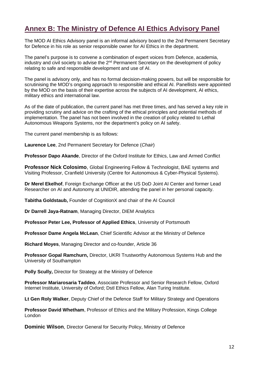### **Annex B: The Ministry of Defence AI Ethics Advisory Panel**

The MOD AI Ethics Advisory panel is an informal advisory board to the 2nd Permanent Secretary for Defence in his role as senior responsible owner for AI Ethics in the department.

The panel's purpose is to convene a combination of expert voices from Defence, academia, industry and civil society to advise the 2<sup>nd</sup> Permanent Secretary on the development of policy relating to safe and responsible development and use of AI.

The panel is advisory only, and has no formal decision-making powers, but will be responsible for scrutinising the MOD's ongoing approach to responsible and ethical AI. Panellists were appointed by the MOD on the basis of their expertise across the subjects of AI development, AI ethics, military ethics and international law.

As of the date of publication, the current panel has met three times, and has served a key role in providing scrutiny and advice on the crafting of the ethical principles and potential methods of implementation. The panel has not been involved in the creation of policy related to Lethal Autonomous Weapons Systems, nor the department's policy on AI safety.

The current panel membership is as follows:

**Laurence Lee**, 2nd Permanent Secretary for Defence (*Chair*)

**Professor Dapo Akande**, Director of the Oxford Institute for Ethics, Law and Armed Conflict

**Professor Nick Colosimo**, Global Engineering Fellow & Technologist, BAE systems and Visiting Professor, Cranfield University (Centre for Autonomous & Cyber-Physical Systems).

**Dr Merel Ekelhof**, Foreign Exchange Officer at the US DoD Joint AI Center and former Lead Researcher on AI and Autonomy at UNIDIR, attending the panel in her personal capacity.

**Tabitha Goldstaub,** Founder of CognitionX and chair of the AI Council

**Dr Darrell Jaya-Ratnam**, Managing Director, DIEM Analytics

**Professor Peter Lee, Professor of Applied Ethics**, University of Portsmouth

**Professor Dame Angela McLean**, Chief Scientific Advisor at the Ministry of Defence

**Richard Moyes**, Managing Director and co-founder, Article 36

**Professor Gopal Ramchurn,** Director, UKRI Trustworthy Autonomous Systems Hub and the University of Southampton

**Polly Scully,** Director for Strategy at the Ministry of Defence

**Professor Mariarosaria Taddeo**, Associate Professor and Senior Research Fellow, Oxford Internet Institute, University of Oxford; Dstl Ethics Fellow, Alan Turing Institute.

**Lt Gen Roly Walker**, Deputy Chief of the Defence Staff for Military Strategy and Operations

**Professor David Whetham**, Professor of Ethics and the Military Profession, Kings College London

**Dominic Wilson**, Director General for Security Policy, Ministry of Defence